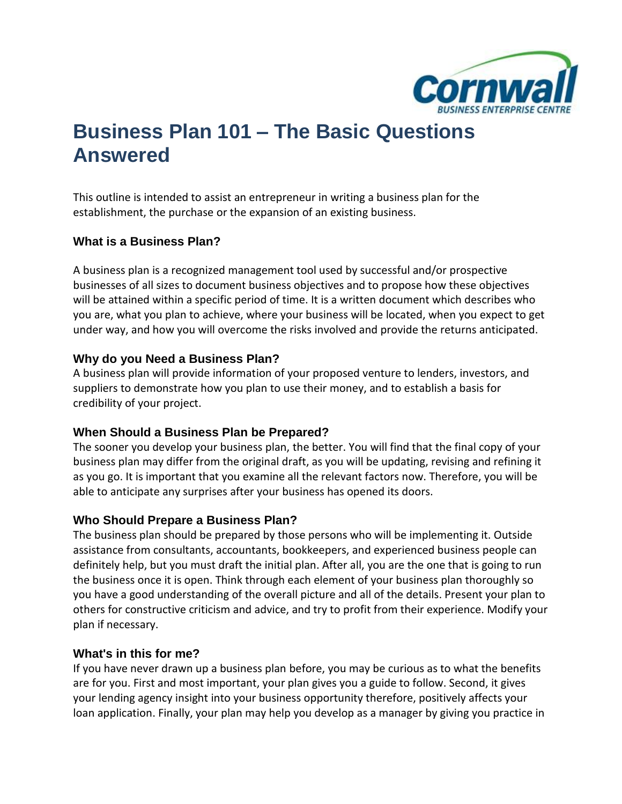

# **Business Plan 101 – The Basic Questions Answered**

This outline is intended to assist an entrepreneur in writing a business plan for the establishment, the purchase or the expansion of an existing business.

#### **What is a Business Plan?**

A business plan is a recognized management tool used by successful and/or prospective businesses of all sizes to document business objectives and to propose how these objectives will be attained within a specific period of time. It is a written document which describes who you are, what you plan to achieve, where your business will be located, when you expect to get under way, and how you will overcome the risks involved and provide the returns anticipated.

### **Why do you Need a Business Plan?**

A business plan will provide information of your proposed venture to lenders, investors, and suppliers to demonstrate how you plan to use their money, and to establish a basis for credibility of your project.

#### **When Should a Business Plan be Prepared?**

The sooner you develop your business plan, the better. You will find that the final copy of your business plan may differ from the original draft, as you will be updating, revising and refining it as you go. It is important that you examine all the relevant factors now. Therefore, you will be able to anticipate any surprises after your business has opened its doors.

#### **Who Should Prepare a Business Plan?**

The business plan should be prepared by those persons who will be implementing it. Outside assistance from consultants, accountants, bookkeepers, and experienced business people can definitely help, but you must draft the initial plan. After all, you are the one that is going to run the business once it is open. Think through each element of your business plan thoroughly so you have a good understanding of the overall picture and all of the details. Present your plan to others for constructive criticism and advice, and try to profit from their experience. Modify your plan if necessary.

#### **What's in this for me?**

If you have never drawn up a business plan before, you may be curious as to what the benefits are for you. First and most important, your plan gives you a guide to follow. Second, it gives your lending agency insight into your business opportunity therefore, positively affects your loan application. Finally, your plan may help you develop as a manager by giving you practice in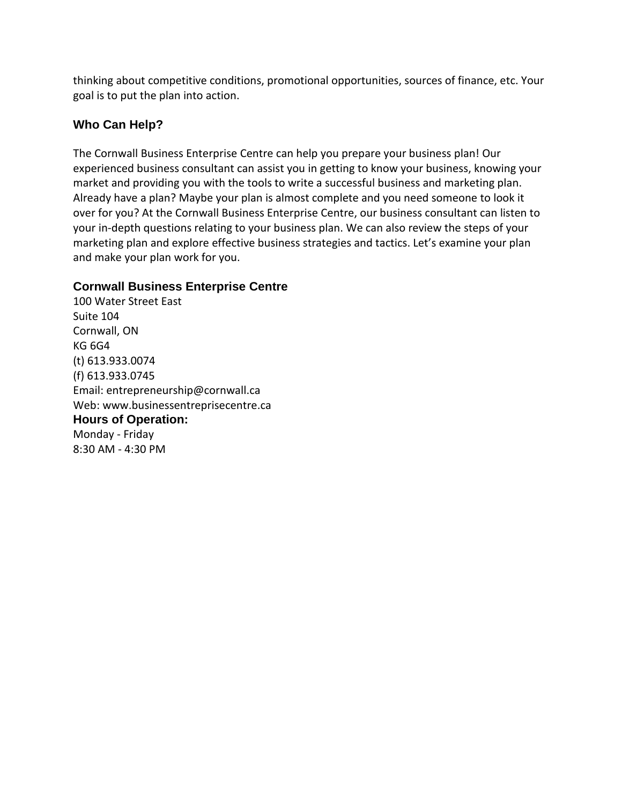thinking about competitive conditions, promotional opportunities, sources of finance, etc. Your goal is to put the plan into action.

### **Who Can Help?**

The Cornwall Business Enterprise Centre can help you prepare your business plan! Our experienced business consultant can assist you in getting to know your business, knowing your market and providing you with the tools to write a successful business and marketing plan. Already have a plan? Maybe your plan is almost complete and you need someone to look it over for you? At the Cornwall Business Enterprise Centre, our business consultant can listen to your in-depth questions relating to your business plan. We can also review the steps of your marketing plan and explore effective business strategies and tactics. Let's examine your plan and make your plan work for you.

### **Cornwall Business Enterprise Centre**

100 Water Street East Suite 104 Cornwall, ON KG 6G4 (t) 613.933.0074 (f) 613.933.0745 Email: entrepreneurship@cornwall.ca Web: www.businessentreprisecentre.ca **Hours of Operation:** Monday - Friday 8:30 AM - 4:30 PM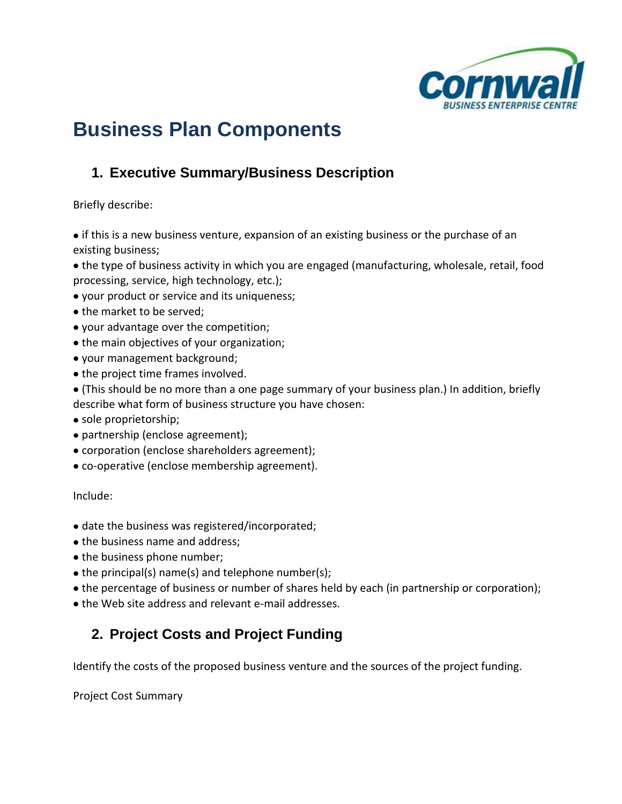

# **Business Plan Components**

# **1. Executive Summary/Business Description**

Briefly describe:

• if this is a new business venture, expansion of an existing business or the purchase of an existing business;

the type of business activity in which you are engaged (manufacturing, wholesale, retail, food processing, service, high technology, etc.);

your product or service and its uniqueness;

- the market to be served;
- your advantage over the competition;
- the main objectives of your organization;
- your management background;
- the project time frames involved.
- (This should be no more than a one page summary of your business plan.) In addition, briefly describe what form of business structure you have chosen:
- sole proprietorship;
- partnership (enclose agreement);
- corporation (enclose shareholders agreement);
- co-operative (enclose membership agreement).

Include:

- date the business was registered/incorporated;
- the business name and address;
- the business phone number;
- $\bullet$  the principal(s) name(s) and telephone number(s);
- the percentage of business or number of shares held by each (in partnership or corporation);
- the Web site address and relevant e-mail addresses.

# **2. Project Costs and Project Funding**

Identify the costs of the proposed business venture and the sources of the project funding.

Project Cost Summary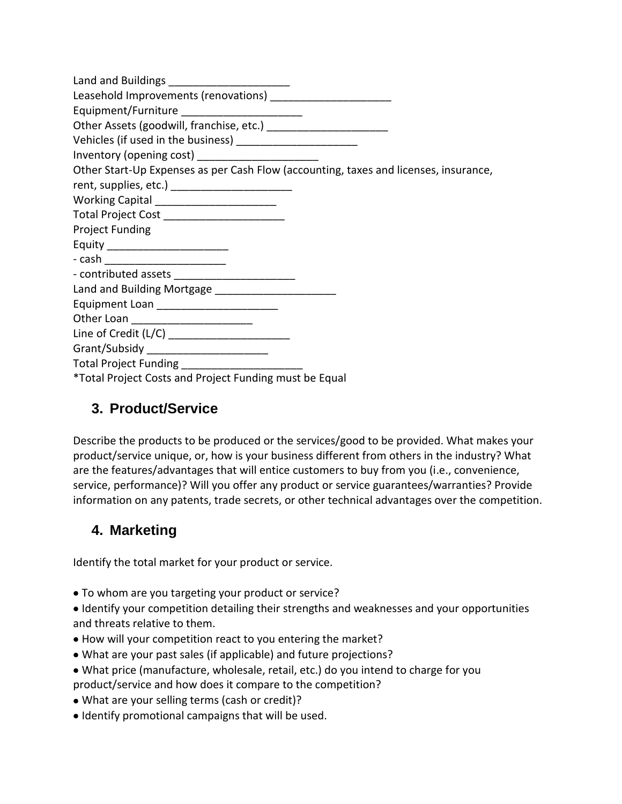| Equipment/Furniture _________________________                                        |
|--------------------------------------------------------------------------------------|
|                                                                                      |
| Vehicles (if used in the business) ________________________                          |
|                                                                                      |
| Other Start-Up Expenses as per Cash Flow (accounting, taxes and licenses, insurance, |
|                                                                                      |
| Working Capital _________________________                                            |
| Total Project Cost ________________________                                          |
| <b>Project Funding</b>                                                               |
| Equity _________________________                                                     |
| - cash ____________________________                                                  |
|                                                                                      |
|                                                                                      |
| Equipment Loan ________________________                                              |
| Other Loan ________________________                                                  |
| Line of Credit (L/C) __________________________                                      |
| Grant/Subsidy _________________________                                              |
| Total Project Funding ________________________                                       |
| *Total Project Costs and Project Funding must be Equal                               |

### **3. Product/Service**

Describe the products to be produced or the services/good to be provided. What makes your product/service unique, or, how is your business different from others in the industry? What are the features/advantages that will entice customers to buy from you (i.e., convenience, service, performance)? Will you offer any product or service guarantees/warranties? Provide information on any patents, trade secrets, or other technical advantages over the competition.

# **4. Marketing**

Identify the total market for your product or service.

To whom are you targeting your product or service?

Identify your competition detailing their strengths and weaknesses and your opportunities and threats relative to them.

- How will your competition react to you entering the market?
- What are your past sales (if applicable) and future projections?
- What price (manufacture, wholesale, retail, etc.) do you intend to charge for you product/service and how does it compare to the competition?
- What are your selling terms (cash or credit)?
- $\bullet$  Identify promotional campaigns that will be used.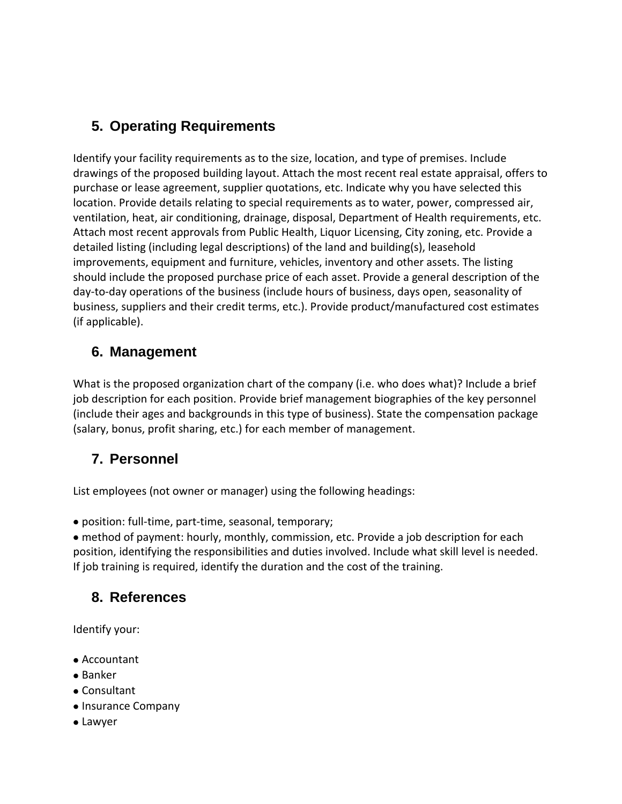# **5. Operating Requirements**

Identify your facility requirements as to the size, location, and type of premises. Include drawings of the proposed building layout. Attach the most recent real estate appraisal, offers to purchase or lease agreement, supplier quotations, etc. Indicate why you have selected this location. Provide details relating to special requirements as to water, power, compressed air, ventilation, heat, air conditioning, drainage, disposal, Department of Health requirements, etc. Attach most recent approvals from Public Health, Liquor Licensing, City zoning, etc. Provide a detailed listing (including legal descriptions) of the land and building(s), leasehold improvements, equipment and furniture, vehicles, inventory and other assets. The listing should include the proposed purchase price of each asset. Provide a general description of the day-to-day operations of the business (include hours of business, days open, seasonality of business, suppliers and their credit terms, etc.). Provide product/manufactured cost estimates (if applicable).

### **6. Management**

What is the proposed organization chart of the company (i.e. who does what)? Include a brief job description for each position. Provide brief management biographies of the key personnel (include their ages and backgrounds in this type of business). State the compensation package (salary, bonus, profit sharing, etc.) for each member of management.

## **7. Personnel**

List employees (not owner or manager) using the following headings:

position: full-time, part-time, seasonal, temporary;

method of payment: hourly, monthly, commission, etc. Provide a job description for each position, identifying the responsibilities and duties involved. Include what skill level is needed. If job training is required, identify the duration and the cost of the training.

## **8. References**

Identify your:

- Accountant
- Banker
- Consultant
- Insurance Company
- Lawyer